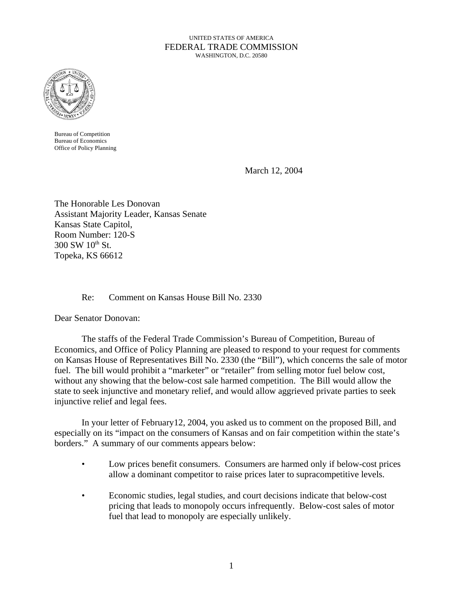#### UNITED STATES OF AMERICA FEDERAL TRADE COMMISSION WASHINGTON, D.C. 20580



Bureau of Competition Bureau of Economics Office of Policy Planning

March 12, 2004

The Honorable Les Donovan Assistant Majority Leader, Kansas Senate Kansas State Capitol, Room Number: 120-S  $300$  SW  $10^{th}$  St. Topeka, KS 66612

# Re: Comment on Kansas House Bill No. 2330

Dear Senator Donovan:

The staffs of the Federal Trade Commission's Bureau of Competition, Bureau of Economics, and Office of Policy Planning are pleased to respond to your request for comments on Kansas House of Representatives Bill No. 2330 (the "Bill"), which concerns the sale of motor fuel. The bill would prohibit a "marketer" or "retailer" from selling motor fuel below cost, without any showing that the below-cost sale harmed competition. The Bill would allow the state to seek injunctive and monetary relief, and would allow aggrieved private parties to seek injunctive relief and legal fees.

In your letter of February12, 2004, you asked us to comment on the proposed Bill, and especially on its "impact on the consumers of Kansas and on fair competition within the state's borders." A summary of our comments appears below:

- Low prices benefit consumers. Consumers are harmed only if below-cost prices allow a dominant competitor to raise prices later to supracompetitive levels.
- Economic studies, legal studies, and court decisions indicate that below-cost pricing that leads to monopoly occurs infrequently. Below-cost sales of motor fuel that lead to monopoly are especially unlikely.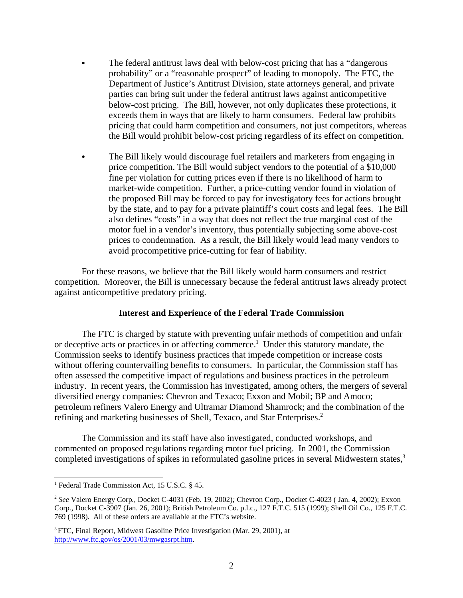- The federal antitrust laws deal with below-cost pricing that has a "dangerous" probability" or a "reasonable prospect" of leading to monopoly. The FTC, the Department of Justice's Antitrust Division, state attorneys general, and private parties can bring suit under the federal antitrust laws against anticompetitive below-cost pricing. The Bill, however, not only duplicates these protections, it exceeds them in ways that are likely to harm consumers. Federal law prohibits pricing that could harm competition and consumers, not just competitors, whereas the Bill would prohibit below-cost pricing regardless of its effect on competition.
- The Bill likely would discourage fuel retailers and marketers from engaging in price competition. The Bill would subject vendors to the potential of a \$10,000 fine per violation for cutting prices even if there is no likelihood of harm to market-wide competition. Further, a price-cutting vendor found in violation of the proposed Bill may be forced to pay for investigatory fees for actions brought by the state, and to pay for a private plaintiff's court costs and legal fees. The Bill also defines "costs" in a way that does not reflect the true marginal cost of the motor fuel in a vendor's inventory, thus potentially subjecting some above-cost prices to condemnation. As a result, the Bill likely would lead many vendors to avoid procompetitive price-cutting for fear of liability.

For these reasons, we believe that the Bill likely would harm consumers and restrict competition. Moreover, the Bill is unnecessary because the federal antitrust laws already protect against anticompetitive predatory pricing.

#### **Interest and Experience of the Federal Trade Commission**

The FTC is charged by statute with preventing unfair methods of competition and unfair or deceptive acts or practices in or affecting commerce.<sup>1</sup> Under this statutory mandate, the Commission seeks to identify business practices that impede competition or increase costs without offering countervailing benefits to consumers. In particular, the Commission staff has often assessed the competitive impact of regulations and business practices in the petroleum industry. In recent years, the Commission has investigated, among others, the mergers of several diversified energy companies: Chevron and Texaco; Exxon and Mobil; BP and Amoco; petroleum refiners Valero Energy and Ultramar Diamond Shamrock; and the combination of the refining and marketing businesses of Shell, Texaco, and Star Enterprises.<sup>2</sup>

The Commission and its staff have also investigated, conducted workshops, and commented on proposed regulations regarding motor fuel pricing. In 2001, the Commission completed investigations of spikes in reformulated gasoline prices in several Midwestern states,<sup>3</sup>

<sup>&</sup>lt;sup>1</sup> Federal Trade Commission Act, 15 U.S.C. § 45.

<sup>2</sup> *See* Valero Energy Corp*.*, Docket C-4031 (Feb. 19, 2002)*;* Chevron Corp., Docket C-4023 ( Jan. 4, 2002); Exxon Corp*.,* Docket C-3907 (Jan. 26, 2001); British Petroleum Co. p.l.c.*,* 127 F.T.C. 515 (1999); Shell Oil Co.*,* 125 F.T.C. 769 (1998). All of these orders are available at the FTC's website.

<sup>&</sup>lt;sup>3</sup> FTC, Final Report, Midwest Gasoline Price Investigation (Mar. 29, 2001), at http://www.ftc.gov/os/2001/03/mwgasrpt.htm.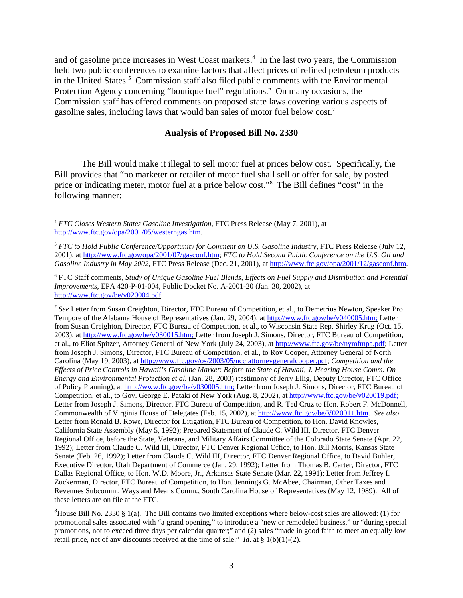and of gasoline price increases in West Coast markets.<sup>4</sup> In the last two years, the Commission held two public conferences to examine factors that affect prices of refined petroleum products in the United States.<sup>5</sup> Commission staff also filed public comments with the Environmental Protection Agency concerning "boutique fuel" regulations.<sup>6</sup> On many occasions, the Commission staff has offered comments on proposed state laws covering various aspects of gasoline sales, including laws that would ban sales of motor fuel below cost.7

#### **Analysis of Proposed Bill No. 2330**

The Bill would make it illegal to sell motor fuel at prices below cost. Specifically, the Bill provides that "no marketer or retailer of motor fuel shall sell or offer for sale, by posted price or indicating meter, motor fuel at a price below cost."<sup>8</sup> The Bill defines "cost" in the following manner:

<sup>7</sup> *See* Letter from Susan Creighton, Director, FTC Bureau of Competition, et al., to Demetrius Newton, Speaker Pro Tempore of the Alabama House of Representatives (Jan. 29, 2004), at http://www.ftc.gov/be/v040005.htm; Letter from Susan Creighton, Director, FTC Bureau of Competition, et al., to Wisconsin State Rep. Shirley Krug (Oct. 15, 2003), at http://www.ftc.gov/be/v030015.htm; Letter from Joseph J. Simons, Director, FTC Bureau of Competition, et al., to Eliot Spitzer, Attorney General of New York (July 24, 2003), at http://www.ftc.gov/be/nymfmpa.pdf; Letter from Joseph J. Simons, Director, FTC Bureau of Competition, et al., to Roy Cooper, Attorney General of North Carolina (May 19, 2003), at http://www.ftc.gov/os/2003/05/ncclattorneygeneralcooper.pdf; *Competition and the Effects of Price Controls in Hawaii's Gasoline Market: Before the State of Hawaii, J. Hearing House Comm. On Energy and Environmental Protection et al.* (Jan. 28, 2003) (testimony of Jerry Ellig, Deputy Director, FTC Office of Policy Planning), at http://www.ftc.gov/be/v030005.htm; Letter from Joseph J. Simons, Director, FTC Bureau of Competition, et al., to Gov. George E. Pataki of New York (Aug. 8, 2002), at http://www.ftc.gov/be/v020019.pdf; Letter from Joseph J. Simons, Director, FTC Bureau of Competition, and R. Ted Cruz to Hon. Robert F. McDonnell, Commonwealth of Virginia House of Delegates (Feb. 15, 2002), at http://www.ftc.gov/be/V020011.htm. *See also* Letter from Ronald B. Rowe, Director for Litigation, FTC Bureau of Competition, to Hon. David Knowles, California State Assembly (May 5, 1992); Prepared Statement of Claude C. Wild III, Director, FTC Denver Regional Office, before the State, Veterans, and Military Affairs Committee of the Colorado State Senate (Apr. 22, 1992); Letter from Claude C. Wild III, Director, FTC Denver Regional Office, to Hon. Bill Morris, Kansas State Senate (Feb. 26, 1992); Letter from Claude C. Wild III, Director, FTC Denver Regional Office, to David Buhler, Executive Director, Utah Department of Commerce (Jan. 29, 1992); Letter from Thomas B. Carter, Director, FTC Dallas Regional Office, to Hon. W.D. Moore, Jr., Arkansas State Senate (Mar. 22, 1991); Letter from Jeffrey I. Zuckerman, Director, FTC Bureau of Competition, to Hon. Jennings G. McAbee, Chairman, Other Taxes and Revenues Subcomm., Ways and Means Comm., South Carolina House of Representatives (May 12, 1989). All of these letters are on file at the FTC.

<sup>4</sup> *FTC Closes Western States Gasoline Investigation,* FTC Press Release (May 7, 2001), at http://www.ftc.gov/opa/2001/05/westerngas.htm.

<sup>5</sup> *FTC to Hold Public Conference/Opportunity for Comment on U.S. Gasoline Industry,* FTC Press Release (July 12, 2001), at http://www.ftc.gov/opa/2001/07/gasconf.htm; *FTC to Hold Second Public Conference on the U.S. Oil and Gasoline Industry in May 2002*, FTC Press Release (Dec. 21, 2001), at http://www.ftc.gov/opa/2001/12/gasconf.htm.

<sup>6</sup> FTC Staff comments, *Study of Unique Gasoline Fuel Blends, Effects on Fuel Supply and Distribution and Potential Improvements,* EPA 420-P-01-004, Public Docket No. A-2001-20 (Jan. 30, 2002), at http://www.ftc.gov/be/v020004.pdf.

 ${}^{8}$ House Bill No. 2330 § 1(a). The Bill contains two limited exceptions where below-cost sales are allowed: (1) for promotional sales associated with "a grand opening," to introduce a "new or remodeled business," or "during special promotions, not to exceed three days per calendar quarter;" and (2) sales "made in good faith to meet an equally low retail price, net of any discounts received at the time of sale." *Id*. at § 1(b)(1)-(2).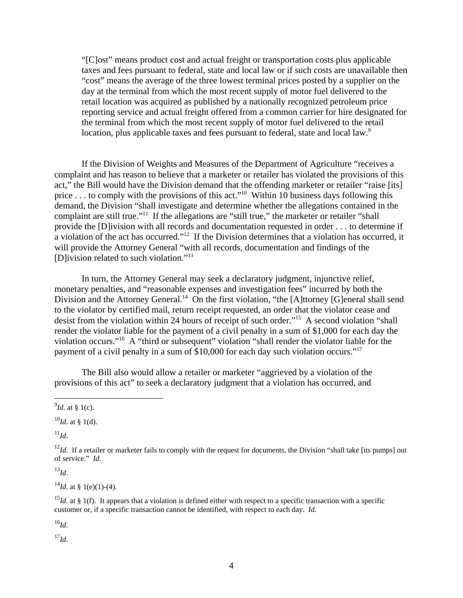"[C]ost" means product cost and actual freight or transportation costs plus applicable taxes and fees pursuant to federal, state and local law or if such costs are unavailable then "cost" means the average of the three lowest terminal prices posted by a supplier on the day at the terminal from which the most recent supply of motor fuel delivered to the retail location was acquired as published by a nationally recognized petroleum price reporting service and actual freight offered from a common carrier for hire designated for the terminal from which the most recent supply of motor fuel delivered to the retail location, plus applicable taxes and fees pursuant to federal, state and local law.<sup>9</sup>

If the Division of Weights and Measures of the Department of Agriculture "receives a complaint and has reason to believe that a marketer or retailer has violated the provisions of this act," the Bill would have the Division demand that the offending marketer or retailer "raise [its] price ... to comply with the provisions of this act."<sup>10</sup> Within 10 business days following this demand, the Division "shall investigate and determine whether the allegations contained in the complaint are still true."<sup>11</sup> If the allegations are "still true," the marketer or retailer "shall provide the [D]ivision with all records and documentation requested in order . . . to determine if a violation of the act has occurred."12 If the Division determines that a violation has occurred, it will provide the Attorney General "with all records, documentation and findings of the [D]ivision related to such violation."13

In turn, the Attorney General may seek a declaratory judgment, injunctive relief, monetary penalties, and "reasonable expenses and investigation fees" incurred by both the Division and the Attorney General.<sup>14</sup> On the first violation, "the [A]ttorney [G]eneral shall send to the violator by certified mail, return receipt requested, an order that the violator cease and desist from the violation within 24 hours of receipt of such order."15 A second violation "shall render the violator liable for the payment of a civil penalty in a sum of \$1,000 for each day the violation occurs."16 A "third or subsequent" violation "shall render the violator liable for the payment of a civil penalty in a sum of \$10,000 for each day such violation occurs."17

The Bill also would allow a retailer or marketer "aggrieved by a violation of the provisions of this act" to seek a declaratory judgment that a violation has occurred, and

 $^{11}$ *Id*.

<sup>13</sup>*Id*.

 $^{14}$ *Id.* at § 1(e)(1)-(4).

<sup>16</sup>*Id*.

<sup>17</sup>*Id*.

 $^{9}$ *Id.* at § 1(c).

 $^{10}$ *Id.* at § 1(d).

 $12$ *Id.* If a retailer or marketer fails to comply with the request for documents, the Division "shall take [its pumps] out of service." *Id*.

<sup>&</sup>lt;sup>15</sup>*Id*. at § 1(f). It appears that a violation is defined either with respect to a specific transaction with a specific customer or, if a specific transaction cannot be identified, with respect to each day. *Id.*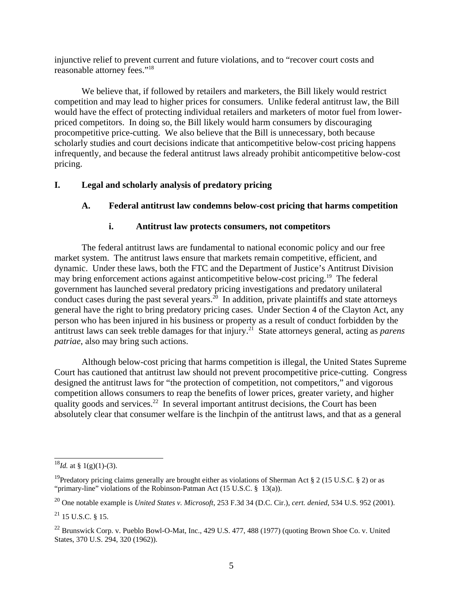injunctive relief to prevent current and future violations, and to "recover court costs and reasonable attorney fees."18

We believe that, if followed by retailers and marketers, the Bill likely would restrict competition and may lead to higher prices for consumers. Unlike federal antitrust law, the Bill would have the effect of protecting individual retailers and marketers of motor fuel from lowerpriced competitors. In doing so, the Bill likely would harm consumers by discouraging procompetitive price-cutting. We also believe that the Bill is unnecessary, both because scholarly studies and court decisions indicate that anticompetitive below-cost pricing happens infrequently, and because the federal antitrust laws already prohibit anticompetitive below-cost pricing.

# **I. Legal and scholarly analysis of predatory pricing**

# **A. Federal antitrust law condemns below-cost pricing that harms competition**

# **i. Antitrust law protects consumers, not competitors**

The federal antitrust laws are fundamental to national economic policy and our free market system. The antitrust laws ensure that markets remain competitive, efficient, and dynamic. Under these laws, both the FTC and the Department of Justice's Antitrust Division may bring enforcement actions against anticompetitive below-cost pricing.<sup>19</sup> The federal government has launched several predatory pricing investigations and predatory unilateral conduct cases during the past several years.<sup>20</sup> In addition, private plaintiffs and state attorneys general have the right to bring predatory pricing cases. Under Section 4 of the Clayton Act, any person who has been injured in his business or property as a result of conduct forbidden by the antitrust laws can seek treble damages for that injury.21 State attorneys general, acting as *parens patriae*, also may bring such actions.

Although below-cost pricing that harms competition is illegal, the United States Supreme Court has cautioned that antitrust law should not prevent procompetitive price-cutting. Congress designed the antitrust laws for "the protection of competition, not competitors," and vigorous competition allows consumers to reap the benefits of lower prices, greater variety, and higher quality goods and services.<sup>22</sup> In several important antitrust decisions, the Court has been absolutely clear that consumer welfare is the linchpin of the antitrust laws, and that as a general

 $^{18}$ *Id.* at § 1(g)(1)-(3).

<sup>&</sup>lt;sup>19</sup>Predatory pricing claims generally are brought either as violations of Sherman Act § 2 (15 U.S.C. § 2) or as "primary-line" violations of the Robinson-Patman Act (15 U.S.C. § 13(a)).

<sup>20</sup> One notable example is *United States v. Microsoft*, 253 F.3d 34 (D.C. Cir.), *cert. denied*, 534 U.S. 952 (2001).

 $^{21}$  15 U.S.C. 8 15.

 $^{22}$  Brunswick Corp. v. Pueblo Bowl-O-Mat, Inc., 429 U.S. 477, 488 (1977) (quoting Brown Shoe Co. v. United States, 370 U.S. 294, 320 (1962)).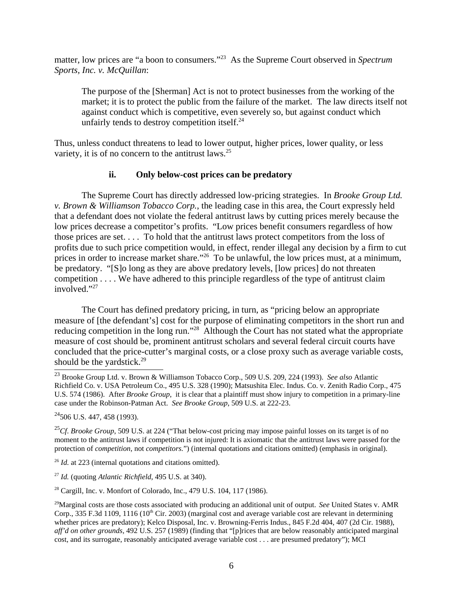matter, low prices are "a boon to consumers."23 As the Supreme Court observed in *Spectrum Sports, Inc. v. McQuillan*:

The purpose of the [Sherman] Act is not to protect businesses from the working of the market; it is to protect the public from the failure of the market. The law directs itself not against conduct which is competitive, even severely so, but against conduct which unfairly tends to destroy competition itself. $^{24}$ 

Thus, unless conduct threatens to lead to lower output, higher prices, lower quality, or less variety, it is of no concern to the antitrust laws.<sup>25</sup>

# **ii. Only below-cost prices can be predatory**

The Supreme Court has directly addressed low-pricing strategies. In *Brooke Group Ltd. v. Brown & Williamson Tobacco Corp.*, the leading case in this area, the Court expressly held that a defendant does not violate the federal antitrust laws by cutting prices merely because the low prices decrease a competitor's profits. "Low prices benefit consumers regardless of how those prices are set. . . . To hold that the antitrust laws protect competitors from the loss of profits due to such price competition would, in effect, render illegal any decision by a firm to cut prices in order to increase market share."<sup>26</sup> To be unlawful, the low prices must, at a minimum, be predatory. "[S]o long as they are above predatory levels, [low prices] do not threaten competition . . . . We have adhered to this principle regardless of the type of antitrust claim involved."<sup>27</sup>

The Court has defined predatory pricing, in turn, as "pricing below an appropriate measure of [the defendant's] cost for the purpose of eliminating competitors in the short run and reducing competition in the long run."<sup>28</sup> Although the Court has not stated what the appropriate measure of cost should be, prominent antitrust scholars and several federal circuit courts have concluded that the price-cutter's marginal costs, or a close proxy such as average variable costs, should be the yardstick.<sup>29</sup>

 $^{24}$ 506 U.S. 447, 458 (1993).

<sup>25</sup>*Cf*. *Brooke Group*, 509 U.S. at 224 ("That below-cost pricing may impose painful losses on its target is of no moment to the antitrust laws if competition is not injured: It is axiomatic that the antitrust laws were passed for the protection of *competition*, not *competitors.*") (internal quotations and citations omitted) (emphasis in original).

<sup>26</sup> *Id.* at 223 (internal quotations and citations omitted).

<sup>27</sup> *Id.* (quoting *Atlantic Richfield*, 495 U.S. at 340).

28 Cargill, Inc. v. Monfort of Colorado, Inc., 479 U.S. 104, 117 (1986).

<sup>23</sup> Brooke Group Ltd. v. Brown & Williamson Tobacco Corp., 509 U.S. 209, 224 (1993). *See also* Atlantic Richfield Co. v. USA Petroleum Co., 495 U.S. 328 (1990); Matsushita Elec. Indus. Co. v. Zenith Radio Corp., 475 U.S. 574 (1986). After *Brooke Group*, it is clear that a plaintiff must show injury to competition in a primary-line case under the Robinson-Patman Act. *See Brooke Group*, 509 U.S. at 222-23.

<sup>29</sup>Marginal costs are those costs associated with producing an additional unit of output. *See* United States v. AMR Corp., 335 F.3d 1109, 1116 (10<sup>th</sup> Cir. 2003) (marginal cost and average variable cost are relevant in determining whether prices are predatory); Kelco Disposal, Inc. v. Browning-Ferris Indus., 845 F.2d 404, 407 (2d Cir. 1988), *aff'd on other grounds,* 492 U.S. 257 (1989) (finding that "[p]rices that are below reasonably anticipated marginal cost, and its surrogate, reasonably anticipated average variable cost . . . are presumed predatory"); MCI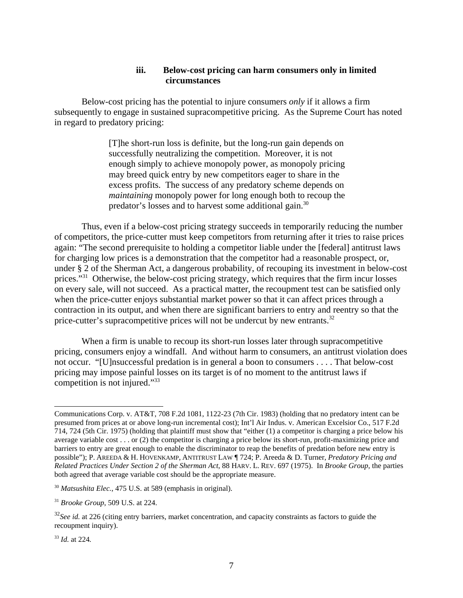#### **iii. Below-cost pricing can harm consumers only in limited circumstances**

Below-cost pricing has the potential to injure consumers *only* if it allows a firm subsequently to engage in sustained supracompetitive pricing. As the Supreme Court has noted in regard to predatory pricing:

> [T]he short-run loss is definite, but the long-run gain depends on successfully neutralizing the competition. Moreover, it is not enough simply to achieve monopoly power, as monopoly pricing may breed quick entry by new competitors eager to share in the excess profits. The success of any predatory scheme depends on *maintaining* monopoly power for long enough both to recoup the predator's losses and to harvest some additional gain.30

Thus, even if a below-cost pricing strategy succeeds in temporarily reducing the number of competitors, the price-cutter must keep competitors from returning after it tries to raise prices again: "The second prerequisite to holding a competitor liable under the [federal] antitrust laws for charging low prices is a demonstration that the competitor had a reasonable prospect, or, under § 2 of the Sherman Act, a dangerous probability, of recouping its investment in below-cost prices."<sup>31</sup> Otherwise, the below-cost pricing strategy, which requires that the firm incur losses on every sale, will not succeed. As a practical matter, the recoupment test can be satisfied only when the price-cutter enjoys substantial market power so that it can affect prices through a contraction in its output, and when there are significant barriers to entry and reentry so that the price-cutter's supracompetitive prices will not be undercut by new entrants.<sup>32</sup>

When a firm is unable to recoup its short-run losses later through supracompetitive pricing, consumers enjoy a windfall. And without harm to consumers, an antitrust violation does not occur. "[U]nsuccessful predation is in general a boon to consumers . . . . That below-cost pricing may impose painful losses on its target is of no moment to the antitrust laws if competition is not injured."<sup>33</sup>

Communications Corp. v. AT&T, 708 F.2d 1081, 1122-23 (7th Cir. 1983) (holding that no predatory intent can be presumed from prices at or above long-run incremental cost); Int'l Air Indus. v. American Excelsior Co., 517 F.2d 714, 724 (5th Cir. 1975) (holding that plaintiff must show that "either (1) a competitor is charging a price below his average variable cost . . . or (2) the competitor is charging a price below its short-run, profit-maximizing price and barriers to entry are great enough to enable the discriminator to reap the benefits of predation before new entry is possible"); P. AREEDA & H. HOVENKAMP, ANTITRUST LAW ¶ 724; P. Areeda & D. Turner, *Predatory Pricing and Related Practices Under Section 2 of the Sherman Act*, 88 HARV. L. REV. 697 (1975). In *Brooke Group*, the parties both agreed that average variable cost should be the appropriate measure.

<sup>30</sup> *Matsushita Elec.*, 475 U.S. at 589 (emphasis in original).

<sup>31</sup> *Brooke Group*, 509 U.S. at 224.

<sup>&</sup>lt;sup>32</sup>See id. at 226 (citing entry barriers, market concentration, and capacity constraints as factors to guide the recoupment inquiry).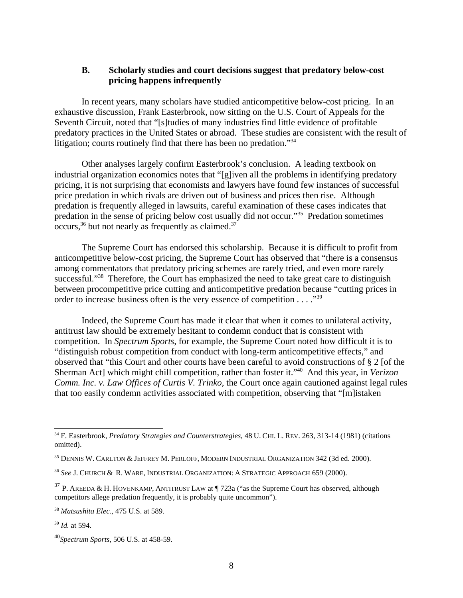### **B. Scholarly studies and court decisions suggest that predatory below-cost pricing happens infrequently**

In recent years, many scholars have studied anticompetitive below-cost pricing. In an exhaustive discussion, Frank Easterbrook, now sitting on the U.S. Court of Appeals for the Seventh Circuit, noted that "[s]tudies of many industries find little evidence of profitable predatory practices in the United States or abroad. These studies are consistent with the result of litigation; courts routinely find that there has been no predation."34

Other analyses largely confirm Easterbrook's conclusion. A leading textbook on industrial organization economics notes that "[g]iven all the problems in identifying predatory pricing, it is not surprising that economists and lawyers have found few instances of successful price predation in which rivals are driven out of business and prices then rise. Although predation is frequently alleged in lawsuits, careful examination of these cases indicates that predation in the sense of pricing below cost usually did not occur."35 Predation sometimes occurs,  $36$  but not nearly as frequently as claimed.  $37$ 

The Supreme Court has endorsed this scholarship. Because it is difficult to profit from anticompetitive below-cost pricing, the Supreme Court has observed that "there is a consensus among commentators that predatory pricing schemes are rarely tried, and even more rarely successful."<sup>38</sup> Therefore, the Court has emphasized the need to take great care to distinguish between procompetitive price cutting and anticompetitive predation because "cutting prices in order to increase business often is the very essence of competition . . . ."39

Indeed, the Supreme Court has made it clear that when it comes to unilateral activity, antitrust law should be extremely hesitant to condemn conduct that is consistent with competition. In *Spectrum Sports*, for example, the Supreme Court noted how difficult it is to "distinguish robust competition from conduct with long-term anticompetitive effects," and observed that "this Court and other courts have been careful to avoid constructions of § 2 [of the Sherman Act] which might chill competition, rather than foster it."40 And this year, in *Verizon Comm. Inc. v. Law Offices of Curtis V. Trinko*, the Court once again cautioned against legal rules that too easily condemn activities associated with competition, observing that "[m]istaken

<sup>34</sup> F. Easterbrook, *Predatory Strategies and Counterstrategies*, 48 U. CHI. L. REV. 263, 313-14 (1981) (citations omitted).

<sup>35</sup> DENNIS W. CARLTON & JEFFREY M. PERLOFF, MODERN INDUSTRIAL ORGANIZATION 342 (3d ed. 2000).

<sup>36</sup> *See* J. CHURCH & R. WARE, INDUSTRIAL ORGANIZATION: A STRATEGIC APPROACH 659 (2000).

 $37$  P. AREEDA & H. HOVENKAMP, ANTITRUST LAW at  $\P$  723a ("as the Supreme Court has observed, although competitors allege predation frequently, it is probably quite uncommon").

<sup>38</sup> *Matsushita Elec.*, 475 U.S. at 589.

<sup>39</sup> *Id.* at 594.

<sup>40</sup>*Spectrum Sports*, 506 U.S. at 458-59.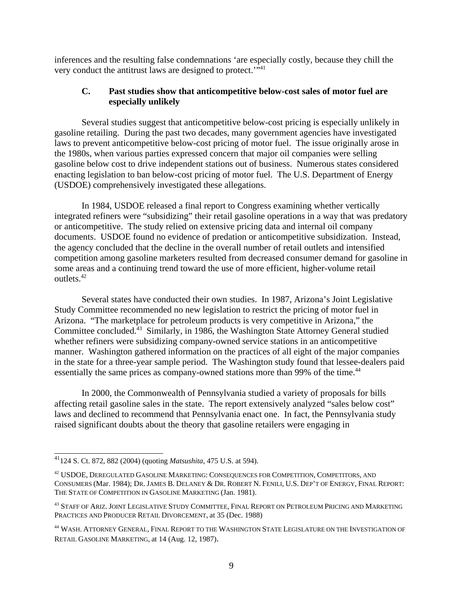inferences and the resulting false condemnations 'are especially costly, because they chill the very conduct the antitrust laws are designed to protect."<sup>41</sup>

# **C. Past studies show that anticompetitive below-cost sales of motor fuel are especially unlikely**

Several studies suggest that anticompetitive below-cost pricing is especially unlikely in gasoline retailing. During the past two decades, many government agencies have investigated laws to prevent anticompetitive below-cost pricing of motor fuel. The issue originally arose in the 1980s, when various parties expressed concern that major oil companies were selling gasoline below cost to drive independent stations out of business. Numerous states considered enacting legislation to ban below-cost pricing of motor fuel. The U.S. Department of Energy (USDOE) comprehensively investigated these allegations.

In 1984, USDOE released a final report to Congress examining whether vertically integrated refiners were "subsidizing" their retail gasoline operations in a way that was predatory or anticompetitive. The study relied on extensive pricing data and internal oil company documents. USDOE found no evidence of predation or anticompetitive subsidization. Instead, the agency concluded that the decline in the overall number of retail outlets and intensified competition among gasoline marketers resulted from decreased consumer demand for gasoline in some areas and a continuing trend toward the use of more efficient, higher-volume retail outlets.42

Several states have conducted their own studies. In 1987, Arizona's Joint Legislative Study Committee recommended no new legislation to restrict the pricing of motor fuel in Arizona. "The marketplace for petroleum products is very competitive in Arizona," the Committee concluded.43 Similarly, in 1986, the Washington State Attorney General studied whether refiners were subsidizing company-owned service stations in an anticompetitive manner. Washington gathered information on the practices of all eight of the major companies in the state for a three-year sample period. The Washington study found that lessee-dealers paid essentially the same prices as company-owned stations more than 99% of the time.<sup>44</sup>

In 2000, the Commonwealth of Pennsylvania studied a variety of proposals for bills affecting retail gasoline sales in the state. The report extensively analyzed "sales below cost" laws and declined to recommend that Pennsylvania enact one. In fact, the Pennsylvania study raised significant doubts about the theory that gasoline retailers were engaging in

<sup>41124</sup> S. Ct. 872, 882 (2004) (quoting *Matsushita*, 475 U.S. at 594).

<sup>42</sup> USDOE, DEREGULATED GASOLINE MARKETING: CONSEQUENCES FOR COMPETITION, COMPETITORS, AND CONSUMERS (Mar. 1984); DR. JAMES B. DELANEY & DR. ROBERT N. FENILI, U.S. DEP'T OF ENERGY, FINAL REPORT: THE STATE OF COMPETITION IN GASOLINE MARKETING (Jan. 1981).

 $^{43}$  STAFF OF ARIZ. JOINT LEGISLATIVE STUDY COMMITTEE, FINAL REPORT ON PETROLEUM PRICING AND MARKETING PRACTICES AND PRODUCER RETAIL DIVORCEMENT, at 35 (Dec. 1988)

<sup>44</sup> WASH. ATTORNEY GENERAL, FINAL REPORT TO THE WASHINGTON STATE LEGISLATURE ON THE INVESTIGATION OF RETAIL GASOLINE MARKETING, at 14 (Aug. 12, 1987).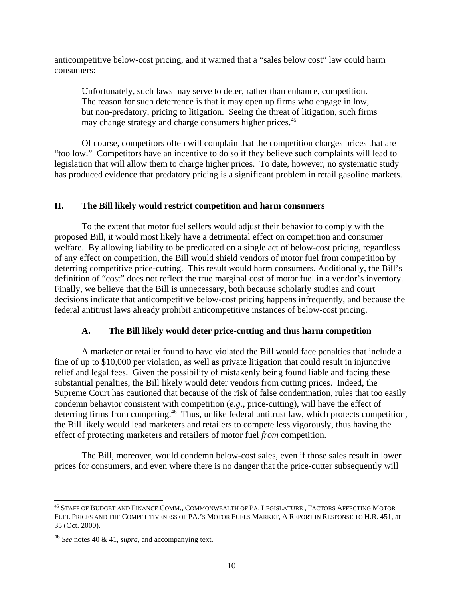anticompetitive below-cost pricing, and it warned that a "sales below cost" law could harm consumers:

Unfortunately, such laws may serve to deter, rather than enhance, competition. The reason for such deterrence is that it may open up firms who engage in low, but non-predatory, pricing to litigation. Seeing the threat of litigation, such firms may change strategy and charge consumers higher prices.<sup>45</sup>

Of course, competitors often will complain that the competition charges prices that are "too low." Competitors have an incentive to do so if they believe such complaints will lead to legislation that will allow them to charge higher prices. To date, however, no systematic study has produced evidence that predatory pricing is a significant problem in retail gasoline markets.

#### **II. The Bill likely would restrict competition and harm consumers**

To the extent that motor fuel sellers would adjust their behavior to comply with the proposed Bill, it would most likely have a detrimental effect on competition and consumer welfare. By allowing liability to be predicated on a single act of below-cost pricing, regardless of any effect on competition, the Bill would shield vendors of motor fuel from competition by deterring competitive price-cutting. This result would harm consumers. Additionally, the Bill's definition of "cost" does not reflect the true marginal cost of motor fuel in a vendor's inventory. Finally, we believe that the Bill is unnecessary, both because scholarly studies and court decisions indicate that anticompetitive below-cost pricing happens infrequently, and because the federal antitrust laws already prohibit anticompetitive instances of below-cost pricing.

# **A. The Bill likely would deter price-cutting and thus harm competition**

A marketer or retailer found to have violated the Bill would face penalties that include a fine of up to \$10,000 per violation, as well as private litigation that could result in injunctive relief and legal fees. Given the possibility of mistakenly being found liable and facing these substantial penalties, the Bill likely would deter vendors from cutting prices. Indeed, the Supreme Court has cautioned that because of the risk of false condemnation, rules that too easily condemn behavior consistent with competition (*e.g.*, price-cutting), will have the effect of deterring firms from competing.<sup>46</sup> Thus, unlike federal antitrust law, which protects competition, the Bill likely would lead marketers and retailers to compete less vigorously, thus having the effect of protecting marketers and retailers of motor fuel *from* competition.

The Bill, moreover, would condemn below-cost sales, even if those sales result in lower prices for consumers, and even where there is no danger that the price-cutter subsequently will

<sup>45</sup> STAFF OF BUDGET AND FINANCE COMM., COMMONWEALTH OF PA. LEGISLATURE , FACTORS AFFECTING MOTOR FUEL PRICES AND THE COMPETITIVENESS OF PA.'S MOTOR FUELS MARKET, A REPORT IN RESPONSE TO H.R. 451, at 35 (Oct. 2000).

<sup>46</sup> *See* notes 40 & 41, *supra*, and accompanying text.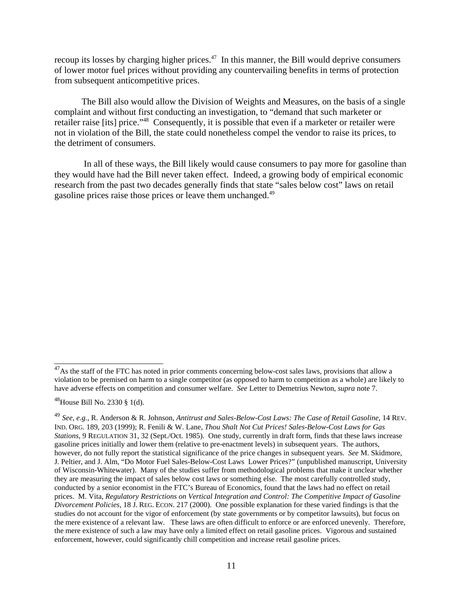recoup its losses by charging higher prices. $47$  In this manner, the Bill would deprive consumers of lower motor fuel prices without providing any countervailing benefits in terms of protection from subsequent anticompetitive prices.

The Bill also would allow the Division of Weights and Measures, on the basis of a single complaint and without first conducting an investigation, to "demand that such marketer or retailer raise [its] price."48 Consequently, it is possible that even if a marketer or retailer were not in violation of the Bill, the state could nonetheless compel the vendor to raise its prices, to the detriment of consumers.

 In all of these ways, the Bill likely would cause consumers to pay more for gasoline than they would have had the Bill never taken effect. Indeed, a growing body of empirical economic research from the past two decades generally finds that state "sales below cost" laws on retail gasoline prices raise those prices or leave them unchanged.<sup>49</sup>

<sup>&</sup>lt;sup>47</sup>As the staff of the FTC has noted in prior comments concerning below-cost sales laws, provisions that allow a violation to be premised on harm to a single competitor (as opposed to harm to competition as a whole) are likely to have adverse effects on competition and consumer welfare. *See* Letter to Demetrius Newton, *supra* note 7.

<sup>&</sup>lt;sup>48</sup>House Bill No. 2330 § 1(d).

<sup>49</sup> *See*, *e.g.*, R. Anderson & R. Johnson, *Antitrust and Sales-Below-Cost Laws: The Case of Retail Gasoline*, 14 REV. IND. ORG. 189, 203 (1999); R. Fenili & W. Lane, *Thou Shalt Not Cut Prices! Sales-Below-Cost Laws for Gas Stations*, 9 REGULATION 31, 32 (Sept./Oct. 1985). One study, currently in draft form, finds that these laws increase gasoline prices initially and lower them (relative to pre-enactment levels) in subsequent years. The authors, however, do not fully report the statistical significance of the price changes in subsequent years. *See* M. Skidmore, J. Peltier, and J. Alm, "Do Motor Fuel Sales-Below-Cost Laws Lower Prices?" (unpublished manuscript, University of Wisconsin-Whitewater). Many of the studies suffer from methodological problems that make it unclear whether they are measuring the impact of sales below cost laws or something else. The most carefully controlled study, conducted by a senior economist in the FTC's Bureau of Economics, found that the laws had no effect on retail prices. M. Vita, *Regulatory Restrictions on Vertical Integration and Control: The Competitive Impact of Gasoline Divorcement Policies*, 18 J. REG. ECON. 217 (2000). One possible explanation for these varied findings is that the studies do not account for the vigor of enforcement (by state governments or by competitor lawsuits), but focus on the mere existence of a relevant law. These laws are often difficult to enforce or are enforced unevenly. Therefore, the mere existence of such a law may have only a limited effect on retail gasoline prices. Vigorous and sustained enforcement, however, could significantly chill competition and increase retail gasoline prices.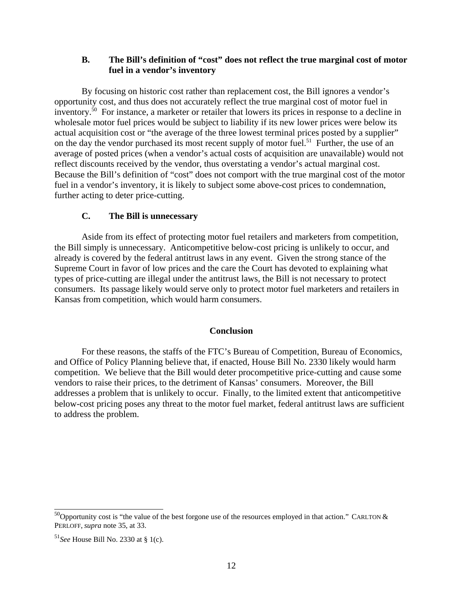### **B. The Bill's definition of "cost" does not reflect the true marginal cost of motor fuel in a vendor's inventory**

By focusing on historic cost rather than replacement cost, the Bill ignores a vendor's opportunity cost, and thus does not accurately reflect the true marginal cost of motor fuel in inventory.50 For instance, a marketer or retailer that lowers its prices in response to a decline in wholesale motor fuel prices would be subject to liability if its new lower prices were below its actual acquisition cost or "the average of the three lowest terminal prices posted by a supplier" on the day the vendor purchased its most recent supply of motor fuel.<sup>51</sup> Further, the use of an average of posted prices (when a vendor's actual costs of acquisition are unavailable) would not reflect discounts received by the vendor, thus overstating a vendor's actual marginal cost. Because the Bill's definition of "cost" does not comport with the true marginal cost of the motor fuel in a vendor's inventory, it is likely to subject some above-cost prices to condemnation, further acting to deter price-cutting.

#### **C. The Bill is unnecessary**

Aside from its effect of protecting motor fuel retailers and marketers from competition, the Bill simply is unnecessary. Anticompetitive below-cost pricing is unlikely to occur, and already is covered by the federal antitrust laws in any event. Given the strong stance of the Supreme Court in favor of low prices and the care the Court has devoted to explaining what types of price-cutting are illegal under the antitrust laws, the Bill is not necessary to protect consumers. Its passage likely would serve only to protect motor fuel marketers and retailers in Kansas from competition, which would harm consumers.

#### **Conclusion**

For these reasons, the staffs of the FTC's Bureau of Competition, Bureau of Economics, and Office of Policy Planning believe that, if enacted, House Bill No. 2330 likely would harm competition. We believe that the Bill would deter procompetitive price-cutting and cause some vendors to raise their prices, to the detriment of Kansas' consumers. Moreover, the Bill addresses a problem that is unlikely to occur. Finally, to the limited extent that anticompetitive below-cost pricing poses any threat to the motor fuel market, federal antitrust laws are sufficient to address the problem.

<sup>&</sup>lt;sup>50</sup>Opportunity cost is "the value of the best forgone use of the resources employed in that action." CARLTON  $\&$ PERLOFF, *supra* note 35, at 33.

<sup>51</sup>*See* House Bill No. 2330 at § 1(c).